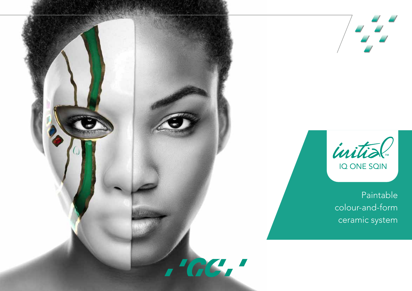



Paintable colour-and-form ceramic system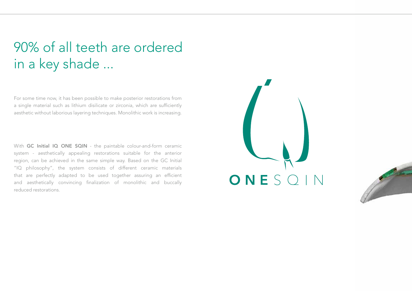# 90% of all teeth are ordered in a key shade ...

For some time now, it has been possible to make posterior restorations from a single material such as lithium disilicate or zirconia, which are sufficiently aesthetic without laborious layering techniques. Monolithic work is increasing.

With GC Initial IQ ONE SQIN - the paintable colour-and-form ceramic system - aesthetically appealing restorations suitable for the anterior region, can be achieved in the same simple way. Based on the GC Initial "IQ philosophy", the system consists of different ceramic materials that are perfectly adapted to be used together assuring an efficient and aesthetically convincing finalization of monolithic and buccally reduced restorations.



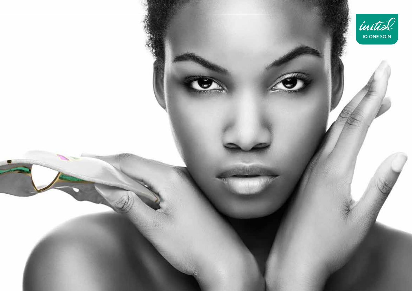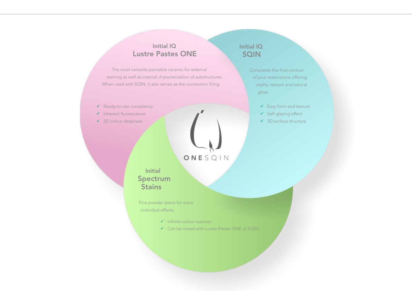### Initial IQ Lustre Pastes ONE

The most versatile paintable ceramic for external staining as well as internal characterization of substructures. When used with SQIN, it also serves as the connection firing.

- $\checkmark$  Ready-to-use consistency
- $\checkmark$  Inherent fluorescence
- ◆ 3D colour deepness

# ONESQIN

Initial Spectrum **Stains** 

Fine powder stains for extra individual effects.

- $\checkmark$  Infinite colour nuances
- $\checkmark$  Can be mixed with Lustre Pastes ONE or SQIN

### Initial IQ **SQIN**

Completes the final contour of your restorations offering vitality, texture and natural gloss.

- $\checkmark$  Easy form and texture
- $\checkmark$  Self-glazing effect
- $\checkmark$  3D surface structure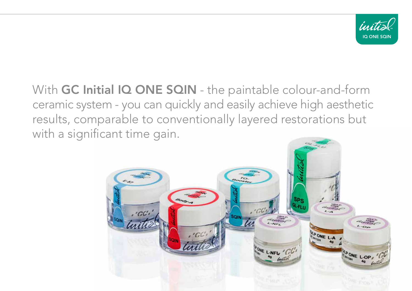

With GC Initial IQ ONE SQIN - the paintable colour-and-form ceramic system - you can quickly and easily achieve high aesthetic results, comparable to conventionally layered restorations but with a significant time gain.

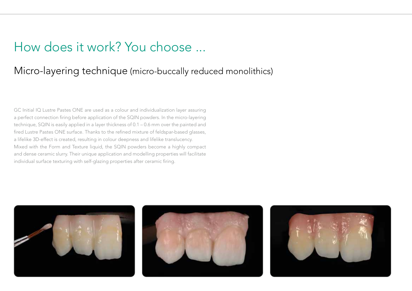### How does it work? You choose ...

### Micro-layering technique (micro-buccally reduced monolithics)

GC Initial IQ Lustre Pastes ONE are used as a colour and individualization layer assuring a perfect connection firing before application of the SQIN powders. In the micro-layering technique, SQIN is easily applied in a layer thickness of 0.1 – 0.6 mm over the painted and fired Lustre Pastes ONE surface. Thanks to the refined mixture of feldspar-based glasses, a lifelike 3D-effect is created, resulting in colour deepness and lifelike translucency. Mixed with the Form and Texture liquid, the SQIN powders become a highly compact and dense ceramic slurry. Their unique application and modelling properties will facilitate individual surface texturing with self-glazing properties after ceramic firing.

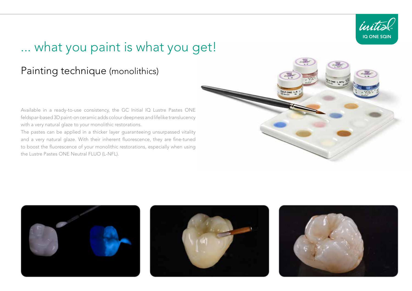

## ... what you paint is what you get!

### Painting technique (monolithics)

Available in a ready-to-use consistency, the GC Initial IQ Lustre Pastes ONE feldspar-based 3D paint-on ceramic adds colour deepness and lifelike translucency with a very natural glaze to your monolithic restorations.

The pastes can be applied in a thicker layer guaranteeing unsurpassed vitality and a very natural glaze. With their inherent fluorescence, they are fine-tuned to boost the fluorescence of your monolithic restorations, especially when using the Lustre Pastes ONE Neutral FLUO (L-NFL).







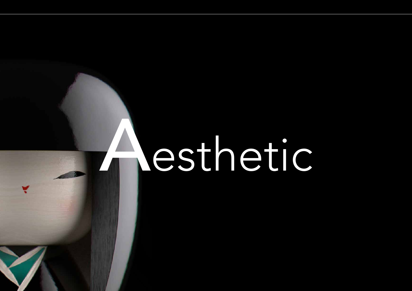# Aesthetic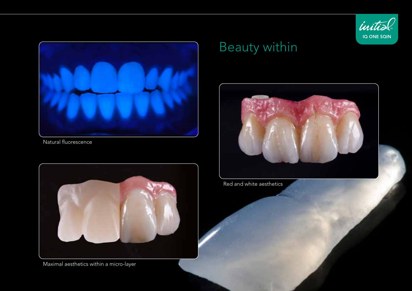



Natural fluorescence



Maximal aesthetics within a micro-layer

# Beauty within



Red and white aesthetics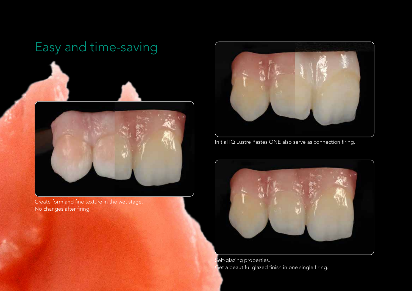# Easy and time-saving



Create form and fine texture in the wet stage. No changes after firing.



Initial IQ Lustre Pastes ONE also serve as connection firing.



Self-glazing properties. Get a beautiful glazed finish in one single firing.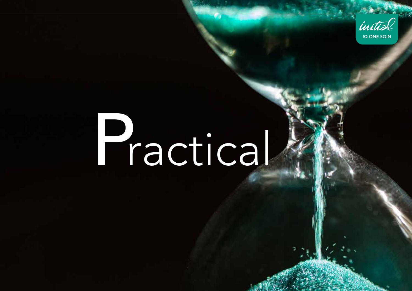

# **Practical**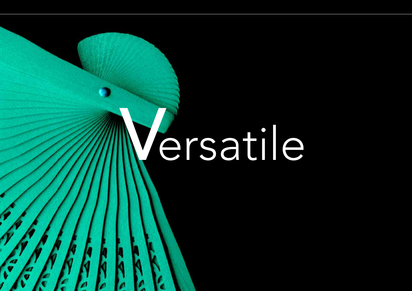# ersatile

J

L

r.

L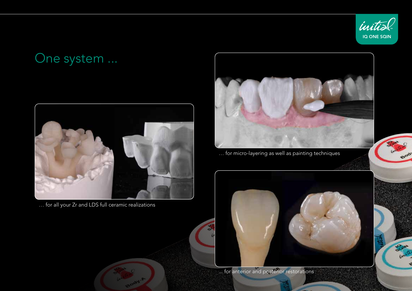

## One system ...



… for all your Zr and LDS full ceramic realizations



… for micro-layering as well as painting techniques



... for anterior and posterior restorations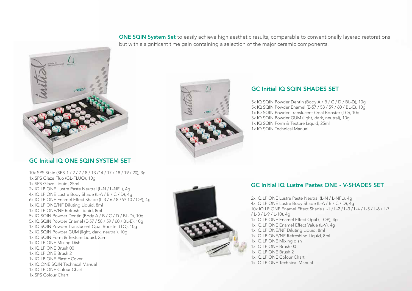ONE SQIN System Set to easily achieve high aesthetic results, comparable to conventionally layered restorations but with a significant time gain containing a selection of the major ceramic components.



### GC Initial IQ ONE SQIN SYSTEM SET

10x SPS Stain (SPS-1 / 2 / 7 / 8 / 13 /14 / 17 / 18 / 19 / 20), 3g 1x SPS Glaze Fluo (GL-FLUO), 10g 1x SPS Glaze Liquid, 25ml 2x IQ LP ONE Lustre Paste Neutral (L-N / L-NFL), 4g 4x IQ LP ONE Lustre Body Shade (L-A / B / C / D), 4g 6x IQ LP ONE Enamel Effect Shade (L-3 / 6 / 8 / 9/ 10 / OP), 4g 1x IQ LP ONE/NF Diluting Liquid, 8ml 1x IQ LP ONE/NF Refresh Liquid, 8ml 5x IQ SQIN Powder Dentin (Body A / B / C / D / BL-D), 10g 5x IQ SQIN Powder Enamel (E-57 / 58 / 59 / 60 / BL-E), 10g 1x IQ SQIN Powder Translucent Opal Booster (TO), 10g 3x IQ SQIN Powder GUM (light, dark, neutral), 10g 1x IQ SQIN Form & Texture Liquid, 25ml 1x IQ LP ONE Mixing Dish 1x IQ LP ONE Brush 00 1x IQ LP ONE Brush 2 1x IQ LP ONE Plastic Cover 1x IQ ONE SQIN Technical Manual 1x IQ LP ONE Colour Chart 1x SPS Colour Chart



### GC Initial IQ SQIN SHADES SET

5x IQ SQIN Powder Dentin (Body A / B / C / D / BL-D), 10g 5x IQ SQIN Powder Enamel (E-57 / 58 / 59 / 60 / BL-E), 10g 1x IQ SQIN Powder Translucent Opal Booster (TO), 10g 3x IQ SQIN Powder GUM (light, dark, neutral), 10g 1x IQ SQIN Form & Texture Liquid, 25ml 1x IQ SQIN Technical Manual

### GC Initial IQ Lustre Pastes ONE - V-SHADES SET

2x IQ LP ONE Lustre Paste Neutral (L-N / L-NFL), 4g 4x IO LP ONE Lustre Body Shade (L-A / B / C / D), 4g 10x IQ LP ONE Enamel Effect Shade (L-1 / L-2 / L-3 / L-4 / L-5 / L-6 / L-7 / L-8 / L-9 / L-10), 4g 1x IQ LP ONE Enamel Effect Opal (L-OP), 4g 1x IQ LP ONE Enamel Effect Value (L-V), 4g 1x IQ LP ONE/NF Diluting Liquid, 8ml 1x IQ LP ONE/NF Refreshing Liquid, 8ml 1x IQ LP ONE Mixing dish 1x IQ LP ONE Brush 00 1x IQ LP ONE Brush 2 1x IQ LP ONE Colour Chart 1x IQ LP ONE Technical Manual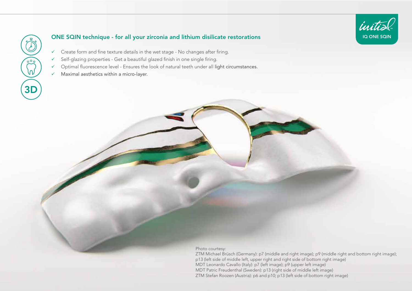# 3D

### ONE SQIN technique - for all your zirconia and lithium disilicate restorations

- $\checkmark$  Create form and fine texture details in the wet stage No changes after firing.
- $\checkmark$  Self-glazing properties Get a beautiful glazed finish in one single firing.
- $\checkmark$  Optimal fluorescence level Ensures the look of natural teeth under all light circumstances.
- $\checkmark$  Maximal aesthetics within a micro-layer.

Photo courtesy:

ZTM Michael Brüsch (Germany): p7 (middle and right image); p9 (middle right and bottom right image); p13 (left side of middle left, upper right and right side of bottom right image) MDT Leonardo Cavallo (Italy): p7 (left image); p9 (upper left image) MDT Patric Freudenthal (Sweden): p13 (right side of middle left image) ZTM Stefan Roozen (Austria): p6 and p10; p13 (left side of bottom right image)

**IQ ONE SQIN** 

initial